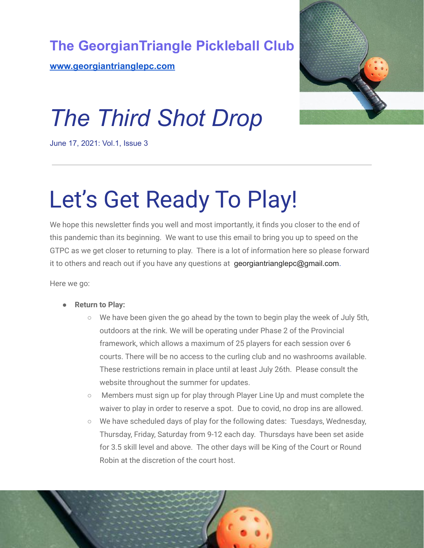

**[www.georgiantrianglepc.com](http://www.georgiantrianglepc.com)**



## *The Third Shot Drop*

June 17, 2021: Vol.1, Issue 3

## Let's Get Ready To Play!

We hope this newsletter finds you well and most importantly, it finds you closer to the end of this pandemic than its beginning. We want to use this email to bring you up to speed on the GTPC as we get closer to returning to play. There is a lot of information here so please forward it to others and reach out if you have any questions at georgiantrianglepc@gmail.com.

Here we go:

- **Return to Play:**
	- $\circ$  We have been given the go ahead by the town to begin play the week of July 5th, outdoors at the rink. We will be operating under Phase 2 of the Provincial framework, which allows a maximum of 25 players for each session over 6 courts. There will be no access to the curling club and no washrooms available. These restrictions remain in place until at least July 26th. Please consult the website throughout the summer for updates.
	- Members must sign up for play through Player Line Up and must complete the waiver to play in order to reserve a spot. Due to covid, no drop ins are allowed.
	- We have scheduled days of play for the following dates: Tuesdays, Wednesday, Thursday, Friday, Saturday from 9-12 each day. Thursdays have been set aside for 3.5 skill level and above. The other days will be King of the Court or Round Robin at the discretion of the court host.

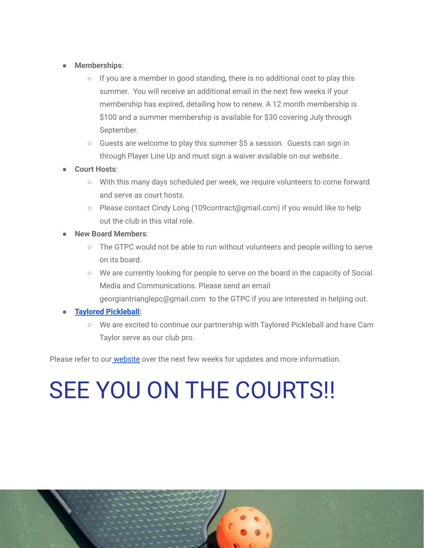- **Memberships**:
	- $\circ$  If you are a member in good standing, there is no additional cost to play this summer. You will receive an additional email in the next few weeks if your membership has expired, detailing how to renew. A 12 month membership is \$100 and a summer membership is available for \$30 covering July through September.
	- $\circ$  Guests are welcome to play this summer \$5 a session. Guests can sign in through Player Line Up and must sign a waiver available on our website..
- **Court Hosts**:
	- With this many days scheduled per week, we require volunteers to come forward and serve as court hosts.
	- Please contact Cindy Long (109contract@gmail.com) if you would like to help out the club in this vital role.
- **New Board Members**:
	- The GTPC would not be able to run without volunteers and people willing to serve on its board.
	- We are currently looking for people to serve on the board in the capacity of Social Media and Communications. Please send an email georgiantrianglepc@gmail.com to the GTPC if you are interested in helping out.

## ● **Taylored [Pickleball:](https://www.tayloredpickleball.com/)**

○ We are excited to continue our partnership with Taylored Pickleball and have Cam Taylor serve as our club pro.

Please refer to our [website](http://www.georgiantrianglepc.com) over the next few weeks for updates and more information.

## SEE YOU ON THE COURTS!!